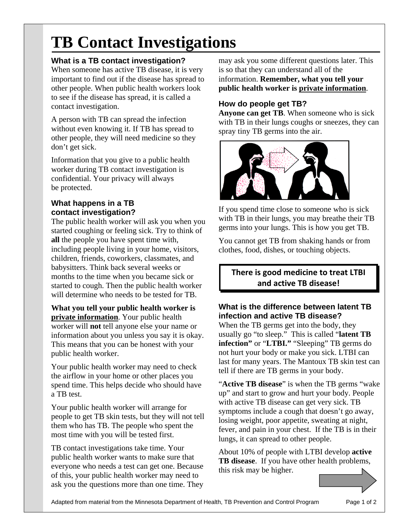# **TB Contact Investigations**

# **What is a TB contact investigation?**

When someone has active TB disease, it is very important to find out if the disease has spread to other people. When public health workers look to see if the disease has spread, it is called a contact investigation.

A person with TB can spread the infection without even knowing it. If TB has spread to other people, they will need medicine so they don't get sick.

Information that you give to a public health worker during TB contact investigation is confidential. Your privacy will always be protected.

## **What happens in a TB contact investigation?**

The public health worker will ask you when you started coughing or feeling sick. Try to think of **all** the people you have spent time with, including people living in your home, visitors, children, friends, coworkers, classmates, and babysitters. Think back several weeks or months to the time when you became sick or started to cough. Then the public health worker will determine who needs to be tested for TB.

**What you tell your public health worker is private information**. Your public health worker will **not** tell anyone else your name or information about you unless you say it is okay. This means that you can be honest with your public health worker.

Your public health worker may need to check the airflow in your home or other places you spend time. This helps decide who should have a TB test.

Your public health worker will arrange for people to get TB skin tests, but they will not tell them who has TB. The people who spent the most time with you will be tested first.

TB contact investigations take time. Your public health worker wants to make sure that everyone who needs a test can get one. Because of this, your public health worker may need to ask you the questions more than one time. They may ask you some different questions later. This is so that they can understand all of the information. **Remember, what you tell your public health worker is private information**.

# **How do people get TB?**

**Anyone can get TB**. When someone who is sick with TB in their lungs coughs or sneezes, they can spray tiny TB germs into the air.



If you spend time close to someone who is sick with TB in their lungs, you may breathe their TB germs into your lungs. This is how you get TB.

You cannot get TB from shaking hands or from clothes, food, dishes, or touching objects.

**There is good medicine to treat LTBI and active TB disease!**

### **What is the difference between latent TB infection and active TB disease?**

When the TB germs get into the body, they usually go "to sleep." This is called "**latent TB infection"** or "**LTBI."** "Sleeping" TB germs do not hurt your body or make you sick. LTBI can last for many years. The Mantoux TB skin test can tell if there are TB germs in your body.

"**Active TB disease**" is when the TB germs "wake up" and start to grow and hurt your body. People with active TB disease can get very sick. TB symptoms include a cough that doesn't go away, losing weight, poor appetite, sweating at night, fever, and pain in your chest. If the TB is in their lungs, it can spread to other people.

About 10% of people with LTBI develop **active TB disease**. If you have other health problems, this risk may be higher.